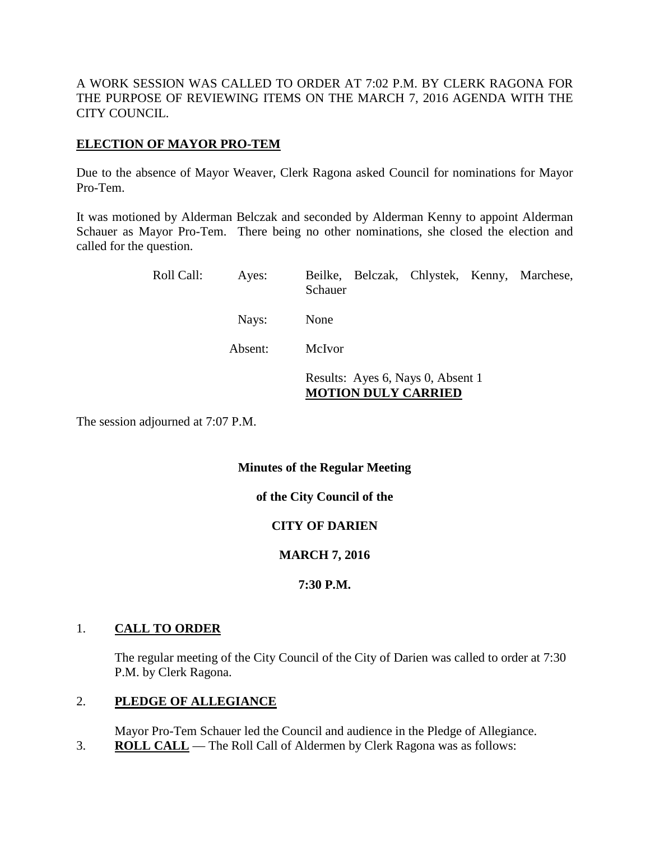A WORK SESSION WAS CALLED TO ORDER AT 7:02 P.M. BY CLERK RAGONA FOR THE PURPOSE OF REVIEWING ITEMS ON THE MARCH 7, 2016 AGENDA WITH THE CITY COUNCIL.

# **ELECTION OF MAYOR PRO-TEM**

Due to the absence of Mayor Weaver, Clerk Ragona asked Council for nominations for Mayor Pro-Tem.

It was motioned by Alderman Belczak and seconded by Alderman Kenny to appoint Alderman Schauer as Mayor Pro-Tem. There being no other nominations, she closed the election and called for the question.

| Roll Call: | Ayes:   | Schauer |                                                                 |  |  | Beilke, Belczak, Chlystek, Kenny, Marchese, |
|------------|---------|---------|-----------------------------------------------------------------|--|--|---------------------------------------------|
|            | Nays:   | None    |                                                                 |  |  |                                             |
|            | Absent: | McIvor  |                                                                 |  |  |                                             |
|            |         |         | Results: Ayes 6, Nays 0, Absent 1<br><b>MOTION DULY CARRIED</b> |  |  |                                             |

The session adjourned at 7:07 P.M.

## **Minutes of the Regular Meeting**

**of the City Council of the**

# **CITY OF DARIEN**

# **MARCH 7, 2016**

## **7:30 P.M.**

## 1. **CALL TO ORDER**

The regular meeting of the City Council of the City of Darien was called to order at 7:30 P.M. by Clerk Ragona.

# 2. **PLEDGE OF ALLEGIANCE**

Mayor Pro-Tem Schauer led the Council and audience in the Pledge of Allegiance.

3. **ROLL CALL** — The Roll Call of Aldermen by Clerk Ragona was as follows: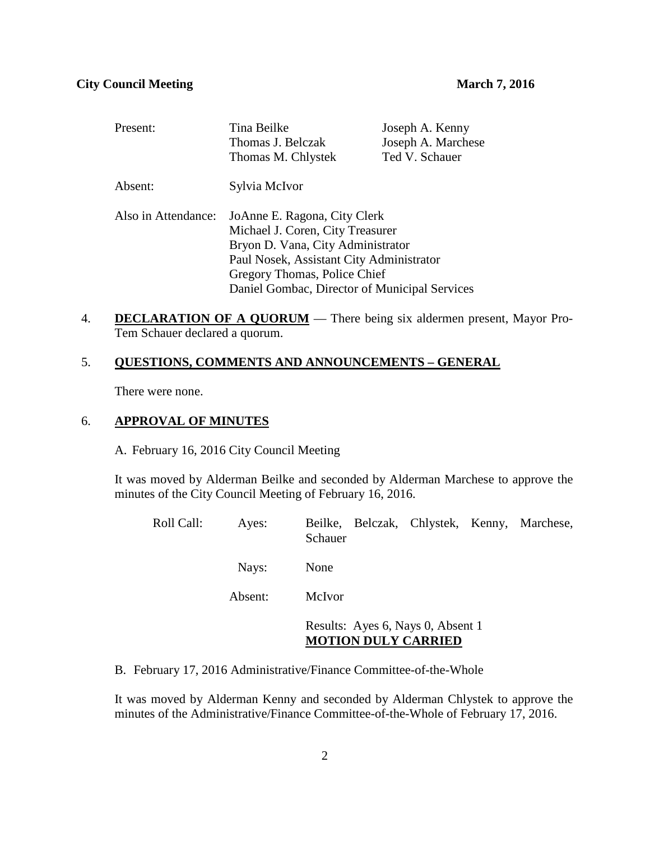| Present:            | Tina Beilke                                   | Joseph A. Kenny    |  |
|---------------------|-----------------------------------------------|--------------------|--|
|                     | Thomas J. Belczak                             | Joseph A. Marchese |  |
|                     | Thomas M. Chlystek                            | Ted V. Schauer     |  |
| Absent:             | Sylvia McIvor                                 |                    |  |
| Also in Attendance: | JoAnne E. Ragona, City Clerk                  |                    |  |
|                     | Michael J. Coren, City Treasurer              |                    |  |
|                     | Bryon D. Vana, City Administrator             |                    |  |
|                     | Paul Nosek, Assistant City Administrator      |                    |  |
|                     | Gregory Thomas, Police Chief                  |                    |  |
|                     | Daniel Gombac, Director of Municipal Services |                    |  |

4. **DECLARATION OF A QUORUM** — There being six aldermen present, Mayor Pro-Tem Schauer declared a quorum.

## 5. **QUESTIONS, COMMENTS AND ANNOUNCEMENTS – GENERAL**

There were none.

## 6. **APPROVAL OF MINUTES**

A. February 16, 2016 City Council Meeting

It was moved by Alderman Beilke and seconded by Alderman Marchese to approve the minutes of the City Council Meeting of February 16, 2016.

| Roll Call: | Ayes:   | Beilke, Belczak, Chlystek, Kenny, Marchese,<br>Schauer          |
|------------|---------|-----------------------------------------------------------------|
|            | Nays:   | None                                                            |
|            | Absent: | McIvor                                                          |
|            |         | Results: Ayes 6, Nays 0, Absent 1<br><b>MOTION DULY CARRIED</b> |

B. February 17, 2016 Administrative/Finance Committee-of-the-Whole

It was moved by Alderman Kenny and seconded by Alderman Chlystek to approve the minutes of the Administrative/Finance Committee-of-the-Whole of February 17, 2016.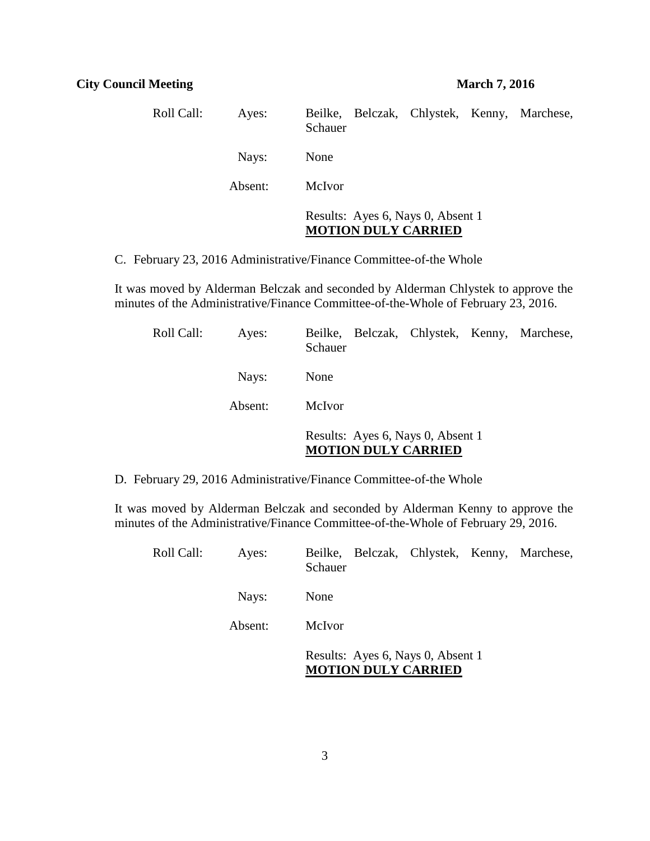| Roll Call: | Ayes:   | Beilke, Belczak, Chlystek, Kenny, Marchese,<br>Schauer          |
|------------|---------|-----------------------------------------------------------------|
|            | Nays:   | None                                                            |
|            | Absent: | McIvor                                                          |
|            |         | Results: Ayes 6, Nays 0, Absent 1<br><b>MOTION DULY CARRIED</b> |

C. February 23, 2016 Administrative/Finance Committee-of-the Whole

It was moved by Alderman Belczak and seconded by Alderman Chlystek to approve the minutes of the Administrative/Finance Committee-of-the-Whole of February 23, 2016.

| Roll Call: | Ayes:   | Beilke, Belczak, Chlystek, Kenny, Marchese,<br>Schauer          |
|------------|---------|-----------------------------------------------------------------|
|            | Nays:   | None                                                            |
|            | Absent: | McIvor                                                          |
|            |         | Results: Ayes 6, Nays 0, Absent 1<br><b>MOTION DULY CARRIED</b> |

D. February 29, 2016 Administrative/Finance Committee-of-the Whole

It was moved by Alderman Belczak and seconded by Alderman Kenny to approve the minutes of the Administrative/Finance Committee-of-the-Whole of February 29, 2016.

| Roll Call: | Ayes:   | Beilke, Belczak, Chlystek, Kenny, Marchese,<br>Schauer          |
|------------|---------|-----------------------------------------------------------------|
|            | Nays:   | None                                                            |
|            | Absent: | McIvor                                                          |
|            |         | Results: Ayes 6, Nays 0, Absent 1<br><b>MOTION DULY CARRIED</b> |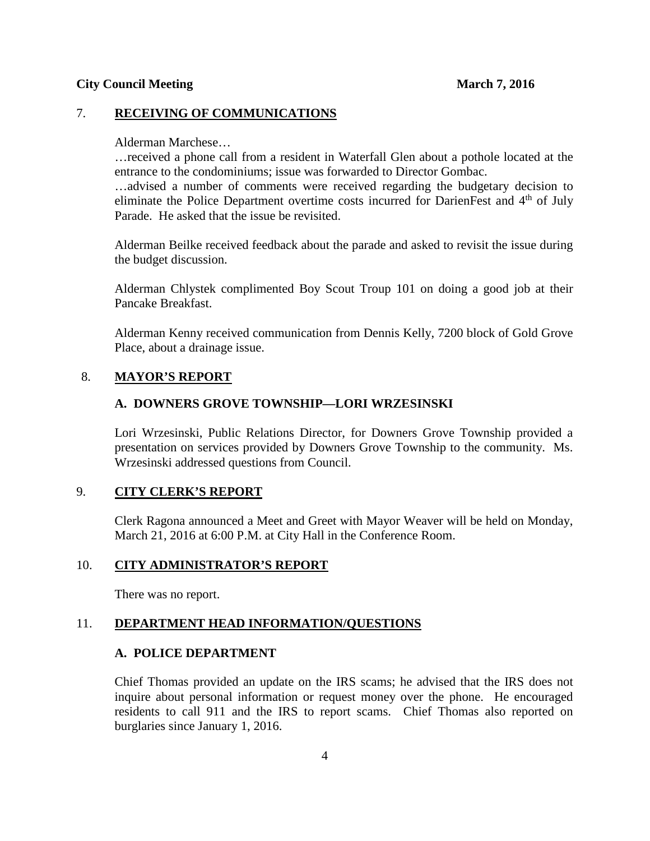#### **City Council Meeting 2016** March 7, 2016

## 7. **RECEIVING OF COMMUNICATIONS**

#### Alderman Marchese…

…received a phone call from a resident in Waterfall Glen about a pothole located at the entrance to the condominiums; issue was forwarded to Director Gombac.

…advised a number of comments were received regarding the budgetary decision to eliminate the Police Department overtime costs incurred for DarienFest and 4<sup>th</sup> of July Parade. He asked that the issue be revisited.

Alderman Beilke received feedback about the parade and asked to revisit the issue during the budget discussion.

Alderman Chlystek complimented Boy Scout Troup 101 on doing a good job at their Pancake Breakfast.

Alderman Kenny received communication from Dennis Kelly, 7200 block of Gold Grove Place, about a drainage issue.

### 8. **MAYOR'S REPORT**

## **A. DOWNERS GROVE TOWNSHIP—LORI WRZESINSKI**

Lori Wrzesinski, Public Relations Director, for Downers Grove Township provided a presentation on services provided by Downers Grove Township to the community. Ms. Wrzesinski addressed questions from Council.

## 9. **CITY CLERK'S REPORT**

Clerk Ragona announced a Meet and Greet with Mayor Weaver will be held on Monday, March 21, 2016 at 6:00 P.M. at City Hall in the Conference Room.

### 10. **CITY ADMINISTRATOR'S REPORT**

There was no report.

### 11. **DEPARTMENT HEAD INFORMATION/QUESTIONS**

### **A. POLICE DEPARTMENT**

Chief Thomas provided an update on the IRS scams; he advised that the IRS does not inquire about personal information or request money over the phone. He encouraged residents to call 911 and the IRS to report scams. Chief Thomas also reported on burglaries since January 1, 2016.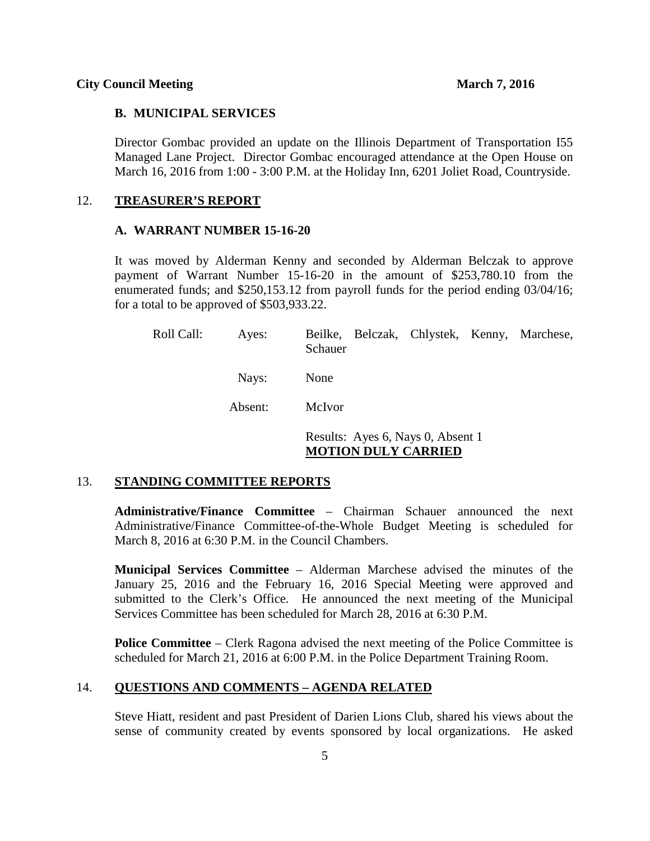#### **B. MUNICIPAL SERVICES**

Director Gombac provided an update on the Illinois Department of Transportation I55 Managed Lane Project. Director Gombac encouraged attendance at the Open House on March 16, 2016 from 1:00 - 3:00 P.M. at the Holiday Inn, 6201 Joliet Road, Countryside.

#### 12. **TREASURER'S REPORT**

#### **A. WARRANT NUMBER 15-16-20**

It was moved by Alderman Kenny and seconded by Alderman Belczak to approve payment of Warrant Number 15-16-20 in the amount of \$253,780.10 from the enumerated funds; and \$250,153.12 from payroll funds for the period ending 03/04/16; for a total to be approved of \$503,933.22.

| Roll Call: | Ayes:   | Beilke, Belczak, Chlystek, Kenny, Marchese,<br>Schauer          |
|------------|---------|-----------------------------------------------------------------|
|            | Nays:   | None                                                            |
|            | Absent: | McIvor                                                          |
|            |         | Results: Ayes 6, Nays 0, Absent 1<br><b>MOTION DULY CARRIED</b> |

#### 13. **STANDING COMMITTEE REPORTS**

**Administrative/Finance Committee** – Chairman Schauer announced the next Administrative/Finance Committee-of-the-Whole Budget Meeting is scheduled for March 8, 2016 at 6:30 P.M. in the Council Chambers.

**Municipal Services Committee** – Alderman Marchese advised the minutes of the January 25, 2016 and the February 16, 2016 Special Meeting were approved and submitted to the Clerk's Office. He announced the next meeting of the Municipal Services Committee has been scheduled for March 28, 2016 at 6:30 P.M.

**Police Committee** – Clerk Ragona advised the next meeting of the Police Committee is scheduled for March 21, 2016 at 6:00 P.M. in the Police Department Training Room.

#### 14. **QUESTIONS AND COMMENTS – AGENDA RELATED**

Steve Hiatt, resident and past President of Darien Lions Club, shared his views about the sense of community created by events sponsored by local organizations. He asked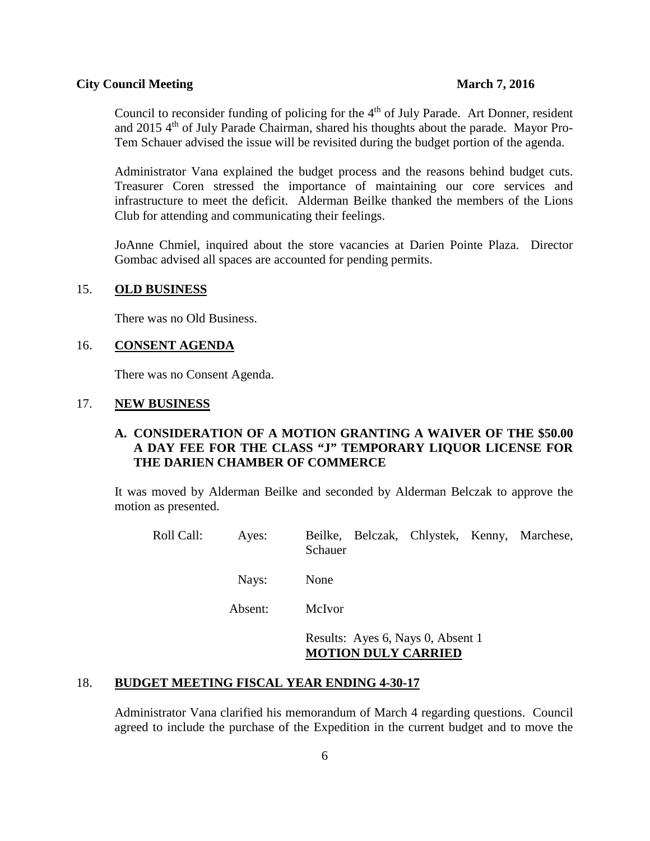#### **City Council Meeting 2016** March 7, 2016

Council to reconsider funding of policing for the  $4<sup>th</sup>$  of July Parade. Art Donner, resident and 2015  $4<sup>th</sup>$  of July Parade Chairman, shared his thoughts about the parade. Mayor Pro-Tem Schauer advised the issue will be revisited during the budget portion of the agenda.

Administrator Vana explained the budget process and the reasons behind budget cuts. Treasurer Coren stressed the importance of maintaining our core services and infrastructure to meet the deficit. Alderman Beilke thanked the members of the Lions Club for attending and communicating their feelings.

JoAnne Chmiel, inquired about the store vacancies at Darien Pointe Plaza. Director Gombac advised all spaces are accounted for pending permits.

#### 15. **OLD BUSINESS**

There was no Old Business.

#### 16. **CONSENT AGENDA**

There was no Consent Agenda.

### 17. **NEW BUSINESS**

# **A. CONSIDERATION OF A MOTION GRANTING A WAIVER OF THE \$50.00 A DAY FEE FOR THE CLASS "J" TEMPORARY LIQUOR LICENSE FOR THE DARIEN CHAMBER OF COMMERCE**

It was moved by Alderman Beilke and seconded by Alderman Belczak to approve the motion as presented.

Roll Call: Ayes: Beilke, Belczak, Chlystek, Kenny, Marchese, Schauer

Nays: None

Absent: McIvor

Results: Ayes 6, Nays 0, Absent 1 **MOTION DULY CARRIED**

## 18. **BUDGET MEETING FISCAL YEAR ENDING 4-30-17**

Administrator Vana clarified his memorandum of March 4 regarding questions. Council agreed to include the purchase of the Expedition in the current budget and to move the